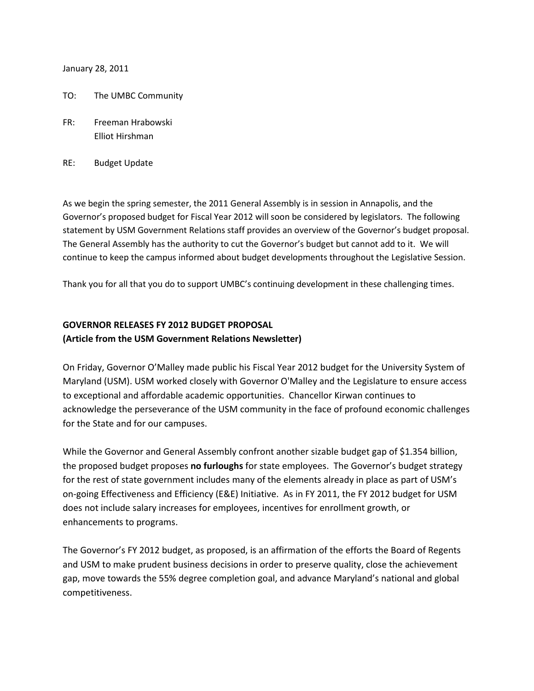January 28, 2011

- TO: The UMBC Community
- FR: Freeman Hrabowski Elliot Hirshman
- RE: Budget Update

As we begin the spring semester, the 2011 General Assembly is in session in Annapolis, and the Governor's proposed budget for Fiscal Year 2012 will soon be considered by legislators. The following statement by USM Government Relations staff provides an overview of the Governor's budget proposal. The General Assembly has the authority to cut the Governor's budget but cannot add to it. We will continue to keep the campus informed about budget developments throughout the Legislative Session.

Thank you for all that you do to support UMBC's continuing development in these challenging times.

## **GOVERNOR RELEASES FY 2012 BUDGET PROPOSAL (Article from the USM Government Relations Newsletter)**

On Friday, Governor O'Malley made public his Fiscal Year 2012 budget for the University System of Maryland (USM). USM worked closely with Governor O'Malley and the Legislature to ensure access to exceptional and affordable academic opportunities. Chancellor Kirwan continues to acknowledge the perseverance of the USM community in the face of profound economic challenges for the State and for our campuses.

While the Governor and General Assembly confront another sizable budget gap of \$1.354 billion, the proposed budget proposes **no furloughs** for state employees. The Governor's budget strategy for the rest of state government includes many of the elements already in place as part of USM's on-going Effectiveness and Efficiency (E&E) Initiative. As in FY 2011, the FY 2012 budget for USM does not include salary increases for employees, incentives for enrollment growth, or enhancements to programs.

The Governor's FY 2012 budget, as proposed, is an affirmation of the efforts the Board of Regents and USM to make prudent business decisions in order to preserve quality, close the achievement gap, move towards the 55% degree completion goal, and advance Maryland's national and global competitiveness.